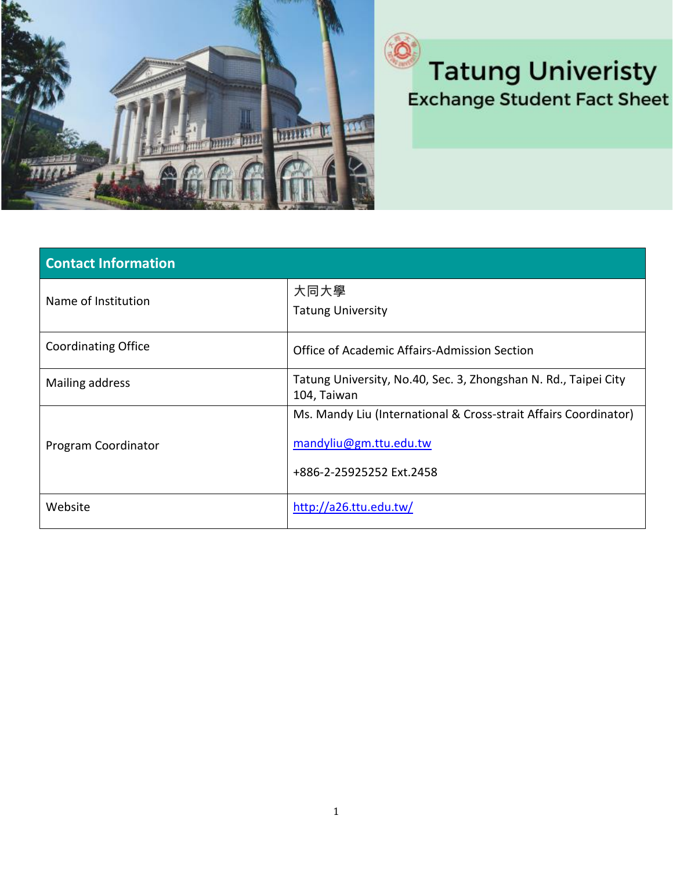

## **Tatung Univeristy Exchange Student Fact Sheet**

| <b>Contact Information</b> |                                                                                                                        |
|----------------------------|------------------------------------------------------------------------------------------------------------------------|
| Name of Institution        | 大同大學<br><b>Tatung University</b>                                                                                       |
| <b>Coordinating Office</b> | Office of Academic Affairs-Admission Section                                                                           |
| Mailing address            | Tatung University, No.40, Sec. 3, Zhongshan N. Rd., Taipei City<br>104, Taiwan                                         |
| Program Coordinator        | Ms. Mandy Liu (International & Cross-strait Affairs Coordinator)<br>mandyliu@gm.ttu.edu.tw<br>+886-2-25925252 Ext.2458 |
| Website                    | http://a26.ttu.edu.tw/                                                                                                 |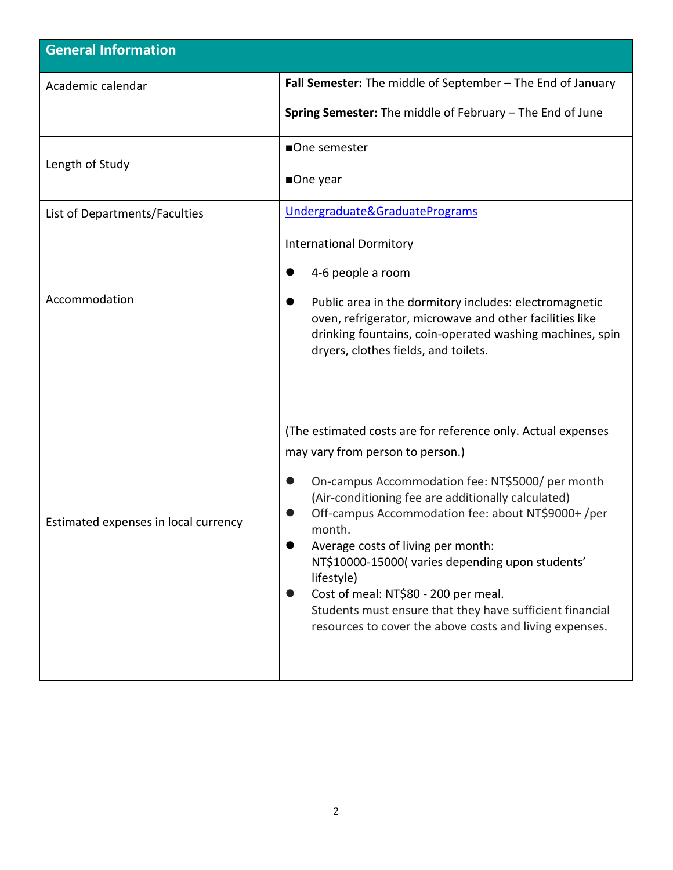| <b>General Information</b>           |                                                                                                                                                                                                                                                                                                                                                                                                                                                                                                                                                  |  |
|--------------------------------------|--------------------------------------------------------------------------------------------------------------------------------------------------------------------------------------------------------------------------------------------------------------------------------------------------------------------------------------------------------------------------------------------------------------------------------------------------------------------------------------------------------------------------------------------------|--|
| Academic calendar                    | Fall Semester: The middle of September - The End of January                                                                                                                                                                                                                                                                                                                                                                                                                                                                                      |  |
|                                      | Spring Semester: The middle of February - The End of June                                                                                                                                                                                                                                                                                                                                                                                                                                                                                        |  |
| Length of Study                      | ■One semester                                                                                                                                                                                                                                                                                                                                                                                                                                                                                                                                    |  |
|                                      | ■One year                                                                                                                                                                                                                                                                                                                                                                                                                                                                                                                                        |  |
| List of Departments/Faculties        | Undergraduate&GraduatePrograms                                                                                                                                                                                                                                                                                                                                                                                                                                                                                                                   |  |
| Accommodation                        | <b>International Dormitory</b>                                                                                                                                                                                                                                                                                                                                                                                                                                                                                                                   |  |
|                                      | 4-6 people a room                                                                                                                                                                                                                                                                                                                                                                                                                                                                                                                                |  |
|                                      | Public area in the dormitory includes: electromagnetic<br>oven, refrigerator, microwave and other facilities like<br>drinking fountains, coin-operated washing machines, spin<br>dryers, clothes fields, and toilets.                                                                                                                                                                                                                                                                                                                            |  |
| Estimated expenses in local currency | (The estimated costs are for reference only. Actual expenses<br>may vary from person to person.)<br>On-campus Accommodation fee: NT\$5000/ per month<br>(Air-conditioning fee are additionally calculated)<br>Off-campus Accommodation fee: about NT\$9000+ /per<br>month.<br>Average costs of living per month:<br>NT\$10000-15000(varies depending upon students'<br>lifestyle)<br>Cost of meal: NT\$80 - 200 per meal.<br>Students must ensure that they have sufficient financial<br>resources to cover the above costs and living expenses. |  |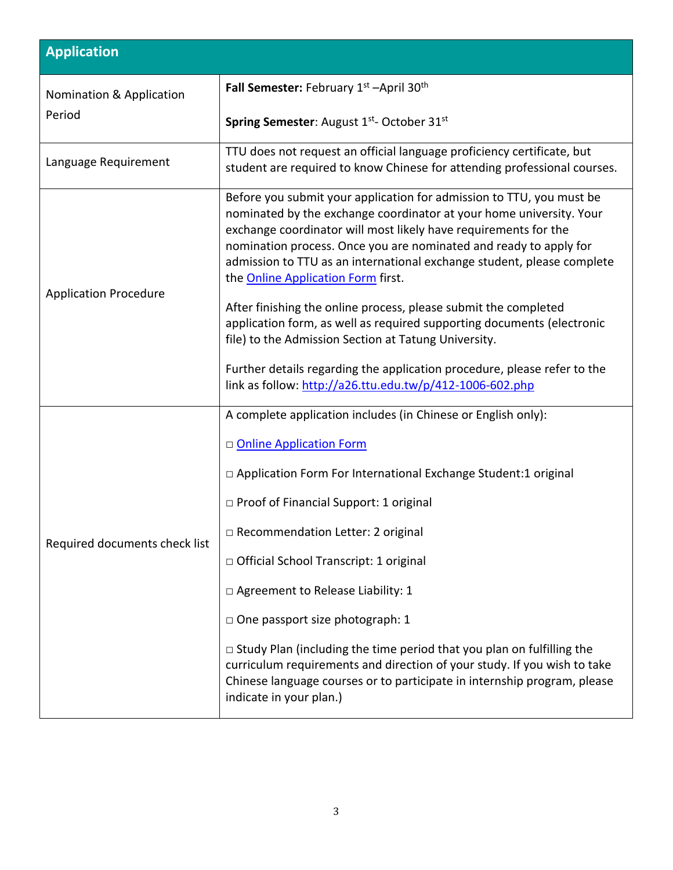| <b>Application</b>                 |                                                                                                                                                                                                                                                                                                                                                                                                            |  |
|------------------------------------|------------------------------------------------------------------------------------------------------------------------------------------------------------------------------------------------------------------------------------------------------------------------------------------------------------------------------------------------------------------------------------------------------------|--|
| Nomination & Application<br>Period | Fall Semester: February 1st -April 30th                                                                                                                                                                                                                                                                                                                                                                    |  |
|                                    | Spring Semester: August 1st- October 31st                                                                                                                                                                                                                                                                                                                                                                  |  |
| Language Requirement               | TTU does not request an official language proficiency certificate, but<br>student are required to know Chinese for attending professional courses.                                                                                                                                                                                                                                                         |  |
| <b>Application Procedure</b>       | Before you submit your application for admission to TTU, you must be<br>nominated by the exchange coordinator at your home university. Your<br>exchange coordinator will most likely have requirements for the<br>nomination process. Once you are nominated and ready to apply for<br>admission to TTU as an international exchange student, please complete<br>the <b>Online Application Form</b> first. |  |
|                                    | After finishing the online process, please submit the completed<br>application form, as well as required supporting documents (electronic<br>file) to the Admission Section at Tatung University.                                                                                                                                                                                                          |  |
|                                    | Further details regarding the application procedure, please refer to the<br>link as follow: http://a26.ttu.edu.tw/p/412-1006-602.php                                                                                                                                                                                                                                                                       |  |
| Required documents check list      | A complete application includes (in Chinese or English only):                                                                                                                                                                                                                                                                                                                                              |  |
|                                    | D Online Application Form                                                                                                                                                                                                                                                                                                                                                                                  |  |
|                                    | □ Application Form For International Exchange Student:1 original                                                                                                                                                                                                                                                                                                                                           |  |
|                                    | □ Proof of Financial Support: 1 original                                                                                                                                                                                                                                                                                                                                                                   |  |
|                                    | □ Recommendation Letter: 2 original                                                                                                                                                                                                                                                                                                                                                                        |  |
|                                    | □ Official School Transcript: 1 original                                                                                                                                                                                                                                                                                                                                                                   |  |
|                                    | □ Agreement to Release Liability: 1                                                                                                                                                                                                                                                                                                                                                                        |  |
|                                    | □ One passport size photograph: 1                                                                                                                                                                                                                                                                                                                                                                          |  |
|                                    | $\Box$ Study Plan (including the time period that you plan on fulfilling the<br>curriculum requirements and direction of your study. If you wish to take<br>Chinese language courses or to participate in internship program, please<br>indicate in your plan.)                                                                                                                                            |  |